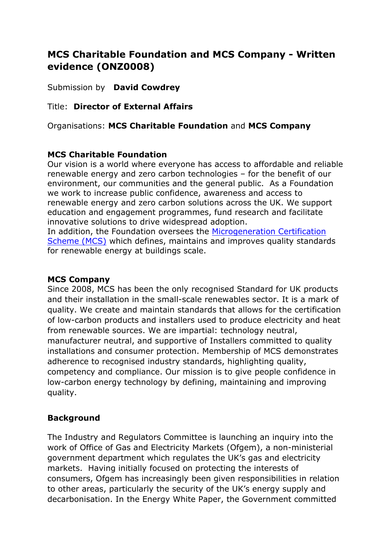# **MCS Charitable Foundation and MCS Company - Written evidence (ONZ0008)**

Submission by **David Cowdrey**

# Title: **Director of External Affairs**

Organisations: **MCS Charitable Foundation** and **MCS Company**

## **MCS Charitable Foundation**

Our vision is a world where everyone has access to affordable and reliable renewable energy and zero carbon technologies – for the benefit of our environment, our communities and the general public. As a Foundation we work to increase public confidence, awareness and access to renewable energy and zero carbon solutions across the UK. We support education and engagement programmes, fund research and facilitate innovative solutions to drive widespread adoption. In addition, the Foundation oversees the [Microgeneration](https://mcscertified.com/) [Certification](https://mcscertified.com/) [Scheme](https://mcscertified.com/) [\(MCS\)](https://mcscertified.com/) which defines, maintains and improves quality standards for renewable energy at buildings scale.

### **MCS Company**

Since 2008, MCS has been the only recognised Standard for UK products and their installation in the small-scale renewables sector. It is a mark of quality. We create and maintain standards that allows for the certification of low-carbon products and installers used to produce electricity and heat from renewable sources. We are impartial: technology neutral, manufacturer neutral, and supportive of Installers committed to quality installations and consumer protection. Membership of MCS demonstrates adherence to recognised industry standards, highlighting quality, competency and compliance. Our mission is to give people confidence in low-carbon energy technology by defining, maintaining and improving quality.

## **Background**

The Industry and Regulators Committee is launching an inquiry into the work of Office of Gas and Electricity Markets (Ofgem), a non-ministerial government department which regulates the UK's gas and electricity markets. Having initially focused on protecting the interests of consumers, Ofgem has increasingly been given responsibilities in relation to other areas, particularly the security of the UK's energy supply and decarbonisation. In the Energy White Paper, the Government committed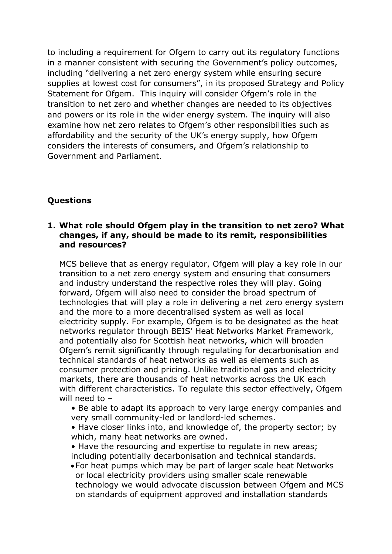to including a requirement for Ofgem to carry out its regulatory functions in a manner consistent with securing the Government's policy outcomes, including "delivering a net zero energy system while ensuring secure supplies at lowest cost for consumers", in its proposed Strategy and Policy Statement for Ofgem. This inquiry will consider Ofgem's role in the transition to net zero and whether changes are needed to its objectives and powers or its role in the wider energy system. The inquiry will also examine how net zero relates to Ofgem's other responsibilities such as affordability and the security of the UK's energy supply, how Ofgem considers the interests of consumers, and Ofgem's relationship to Government and Parliament.

# **Questions**

### **1. What role should Ofgem play in the transition to net zero? What changes, if any, should be made to its remit, responsibilities and resources?**

MCS believe that as energy regulator, Ofgem will play a key role in our transition to a net zero energy system and ensuring that consumers and industry understand the respective roles they will play. Going forward, Ofgem will also need to consider the broad spectrum of technologies that will play a role in delivering a net zero energy system and the more to a more decentralised system as well as local electricity supply. For example, Ofgem is to be designated as the heat networks regulator through BEIS' Heat Networks Market Framework, and potentially also for Scottish heat networks, which will broaden Ofgem's remit significantly through regulating for decarbonisation and technical standards of heat networks as well as elements such as consumer protection and pricing. Unlike traditional gas and electricity markets, there are thousands of heat networks across the UK each with different characteristics. To regulate this sector effectively, Ofgem will need to –

- Be able to adapt its approach to very large energy companies and very small community-led or landlord-led schemes.
- Have closer links into, and knowledge of, the property sector; by which, many heat networks are owned.
- Have the resourcing and expertise to regulate in new areas; including potentially decarbonisation and technical standards.
- For heat pumps which may be part of larger scale heat Networks or local electricity providers using smaller scale renewable technology we would advocate discussion between Ofgem and MCS on standards of equipment approved and installation standards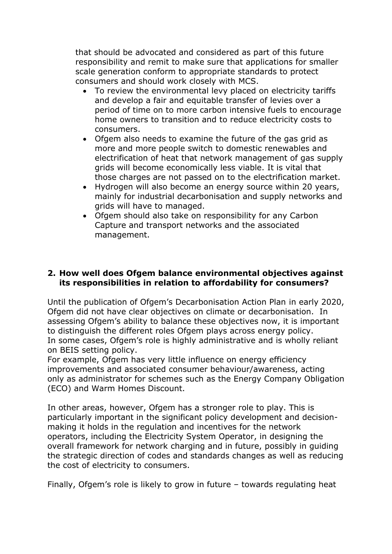that should be advocated and considered as part of this future responsibility and remit to make sure that applications for smaller scale generation conform to appropriate standards to protect consumers and should work closely with MCS.

- To review the environmental levy placed on electricity tariffs and develop a fair and equitable transfer of levies over a period of time on to more carbon intensive fuels to encourage home owners to transition and to reduce electricity costs to consumers.
- Ofgem also needs to examine the future of the gas grid as more and more people switch to domestic renewables and electrification of heat that network management of gas supply grids will become economically less viable. It is vital that those charges are not passed on to the electrification market.
- Hydrogen will also become an energy source within 20 years, mainly for industrial decarbonisation and supply networks and grids will have to managed.
- Ofgem should also take on responsibility for any Carbon Capture and transport networks and the associated management.

### **2. How well does Ofgem balance environmental objectives against its responsibilities in relation to affordability for consumers?**

Until the publication of Ofgem's Decarbonisation Action Plan in early 2020, Ofgem did not have clear objectives on climate or decarbonisation. In assessing Ofgem's ability to balance these objectives now, it is important to distinguish the different roles Ofgem plays across energy policy. In some cases, Ofgem's role is highly administrative and is wholly reliant on BEIS setting policy.

For example, Ofgem has very little influence on energy efficiency improvements and associated consumer behaviour/awareness, acting only as administrator for schemes such as the Energy Company Obligation (ECO) and Warm Homes Discount.

In other areas, however, Ofgem has a stronger role to play. This is particularly important in the significant policy development and decisionmaking it holds in the regulation and incentives for the network operators, including the Electricity System Operator, in designing the overall framework for network charging and in future, possibly in guiding the strategic direction of codes and standards changes as well as reducing the cost of electricity to consumers.

Finally, Ofgem's role is likely to grow in future – towards regulating heat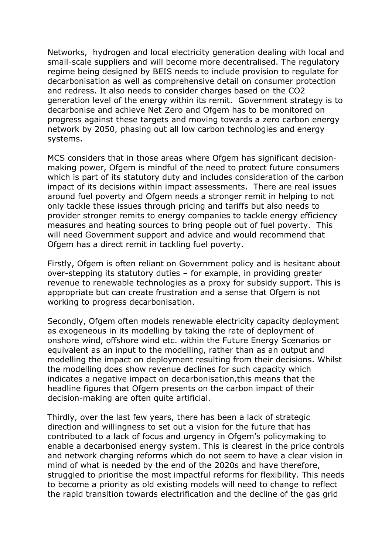Networks, hydrogen and local electricity generation dealing with local and small-scale suppliers and will become more decentralised. The regulatory regime being designed by BEIS needs to include provision to regulate for decarbonisation as well as comprehensive detail on consumer protection and redress. It also needs to consider charges based on the CO2 generation level of the energy within its remit. Government strategy is to decarbonise and achieve Net Zero and Ofgem has to be monitored on progress against these targets and moving towards a zero carbon energy network by 2050, phasing out all low carbon technologies and energy systems.

MCS considers that in those areas where Ofgem has significant decisionmaking power, Ofgem is mindful of the need to protect future consumers which is part of its statutory duty and includes consideration of the carbon impact of its decisions within impact assessments. There are real issues around fuel poverty and Ofgem needs a stronger remit in helping to not only tackle these issues through pricing and tariffs but also needs to provider stronger remits to energy companies to tackle energy efficiency measures and heating sources to bring people out of fuel poverty. This will need Government support and advice and would recommend that Ofgem has a direct remit in tackling fuel poverty.

Firstly, Ofgem is often reliant on Government policy and is hesitant about over-stepping its statutory duties – for example, in providing greater revenue to renewable technologies as a proxy for subsidy support. This is appropriate but can create frustration and a sense that Ofgem is not working to progress decarbonisation.

Secondly, Ofgem often models renewable electricity capacity deployment as exogeneous in its modelling by taking the rate of deployment of onshore wind, offshore wind etc. within the Future Energy Scenarios or equivalent as an input to the modelling, rather than as an output and modelling the impact on deployment resulting from their decisions. Whilst the modelling does show revenue declines for such capacity which indicates a negative impact on decarbonisation,this means that the headline figures that Ofgem presents on the carbon impact of their decision-making are often quite artificial.

Thirdly, over the last few years, there has been a lack of strategic direction and willingness to set out a vision for the future that has contributed to a lack of focus and urgency in Ofgem's policymaking to enable a decarbonised energy system. This is clearest in the price controls and network charging reforms which do not seem to have a clear vision in mind of what is needed by the end of the 2020s and have therefore, struggled to prioritise the most impactful reforms for flexibility. This needs to become a priority as old existing models will need to change to reflect the rapid transition towards electrification and the decline of the gas grid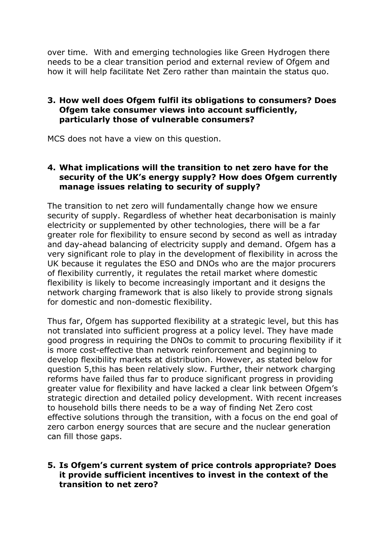over time. With and emerging technologies like Green Hydrogen there needs to be a clear transition period and external review of Ofgem and how it will help facilitate Net Zero rather than maintain the status quo.

### **3. How well does Ofgem fulfil its obligations to consumers? Does Ofgem take consumer views into account sufficiently, particularly those of vulnerable consumers?**

MCS does not have a view on this question.

#### **4. What implications will the transition to net zero have for the security of the UK's energy supply? How does Ofgem currently manage issues relating to security of supply?**

The transition to net zero will fundamentally change how we ensure security of supply. Regardless of whether heat decarbonisation is mainly electricity or supplemented by other technologies, there will be a far greater role for flexibility to ensure second by second as well as intraday and day-ahead balancing of electricity supply and demand. Ofgem has a very significant role to play in the development of flexibility in across the UK because it regulates the ESO and DNOs who are the major procurers of flexibility currently, it regulates the retail market where domestic flexibility is likely to become increasingly important and it designs the network charging framework that is also likely to provide strong signals for domestic and non-domestic flexibility.

Thus far, Ofgem has supported flexibility at a strategic level, but this has not translated into sufficient progress at a policy level. They have made good progress in requiring the DNOs to commit to procuring flexibility if it is more cost-effective than network reinforcement and beginning to develop flexibility markets at distribution. However, as stated below for question 5,this has been relatively slow. Further, their network charging reforms have failed thus far to produce significant progress in providing greater value for flexibility and have lacked a clear link between Ofgem's strategic direction and detailed policy development. With recent increases to household bills there needs to be a way of finding Net Zero cost effective solutions through the transition, with a focus on the end goal of zero carbon energy sources that are secure and the nuclear generation can fill those gaps.

### **5. Is Ofgem's current system of price controls appropriate? Does it provide sufficient incentives to invest in the context of the transition to net zero?**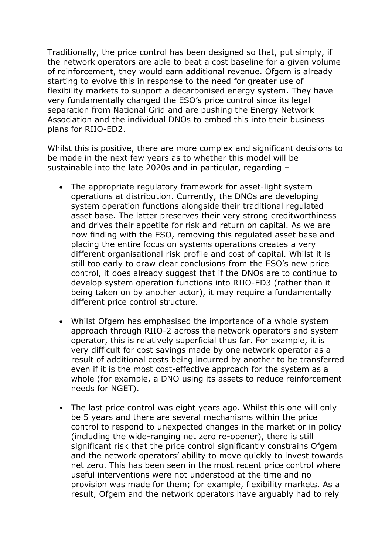Traditionally, the price control has been designed so that, put simply, if the network operators are able to beat a cost baseline for a given volume of reinforcement, they would earn additional revenue. Ofgem is already starting to evolve this in response to the need for greater use of flexibility markets to support a decarbonised energy system. They have very fundamentally changed the ESO's price control since its legal separation from National Grid and are pushing the Energy Network Association and the individual DNOs to embed this into their business plans for RIIO-ED2.

Whilst this is positive, there are more complex and significant decisions to be made in the next few years as to whether this model will be sustainable into the late 2020s and in particular, regarding –

- The appropriate regulatory framework for asset-light system operations at distribution. Currently, the DNOs are developing system operation functions alongside their traditional regulated asset base. The latter preserves their very strong creditworthiness and drives their appetite for risk and return on capital. As we are now finding with the ESO, removing this regulated asset base and placing the entire focus on systems operations creates a very different organisational risk profile and cost of capital. Whilst it is still too early to draw clear conclusions from the ESO's new price control, it does already suggest that if the DNOs are to continue to develop system operation functions into RIIO-ED3 (rather than it being taken on by another actor), it may require a fundamentally different price control structure.
- Whilst Ofgem has emphasised the importance of a whole system approach through RIIO-2 across the network operators and system operator, this is relatively superficial thus far. For example, it is very difficult for cost savings made by one network operator as a result of additional costs being incurred by another to be transferred even if it is the most cost-effective approach for the system as a whole (for example, a DNO using its assets to reduce reinforcement needs for NGET).
- The last price control was eight years ago. Whilst this one will only be 5 years and there are several mechanisms within the price control to respond to unexpected changes in the market or in policy (including the wide-ranging net zero re-opener), there is still significant risk that the price control significantly constrains Ofgem and the network operators' ability to move quickly to invest towards net zero. This has been seen in the most recent price control where useful interventions were not understood at the time and no provision was made for them; for example, flexibility markets. As a result, Ofgem and the network operators have arguably had to rely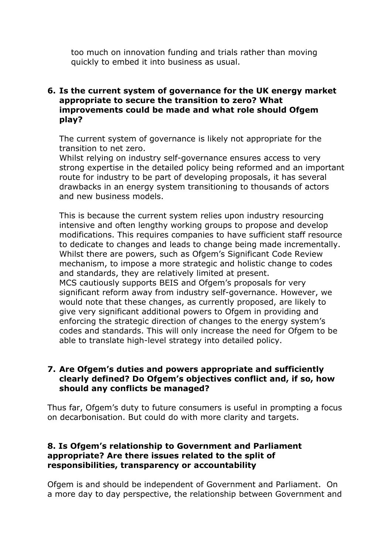too much on innovation funding and trials rather than moving quickly to embed it into business as usual.

### **6. Is the current system of governance for the UK energy market appropriate to secure the transition to zero? What improvements could be made and what role should Ofgem play?**

The current system of governance is likely not appropriate for the transition to net zero.

Whilst relying on industry self-governance ensures access to very strong expertise in the detailed policy being reformed and an important route for industry to be part of developing proposals, it has several drawbacks in an energy system transitioning to thousands of actors and new business models.

This is because the current system relies upon industry resourcing intensive and often lengthy working groups to propose and develop modifications. This requires companies to have sufficient staff resource to dedicate to changes and leads to change being made incrementally. Whilst there are powers, such as Ofgem's Significant Code Review mechanism, to impose a more strategic and holistic change to codes and standards, they are relatively limited at present. MCS cautiously supports BEIS and Ofgem's proposals for very significant reform away from industry self-governance. However, we would note that these changes, as currently proposed, are likely to give very significant additional powers to Ofgem in providing and enforcing the strategic direction of changes to the energy system's codes and standards. This will only increase the need for Ofgem to be able to translate high-level strategy into detailed policy.

### **7. Are Ofgem's duties and powers appropriate and sufficiently clearly defined? Do Ofgem's objectives conflict and, if so, how should any conflicts be managed?**

Thus far, Ofgem's duty to future consumers is useful in prompting a focus on decarbonisation. But could do with more clarity and targets.

### **8. Is Ofgem's relationship to Government and Parliament appropriate? Are there issues related to the split of responsibilities, transparency or accountability**

Ofgem is and should be independent of Government and Parliament. On a more day to day perspective, the relationship between Government and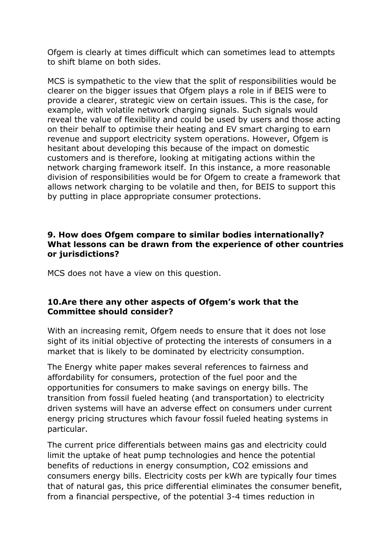Ofgem is clearly at times difficult which can sometimes lead to attempts to shift blame on both sides.

MCS is sympathetic to the view that the split of responsibilities would be clearer on the bigger issues that Ofgem plays a role in if BEIS were to provide a clearer, strategic view on certain issues. This is the case, for example, with volatile network charging signals. Such signals would reveal the value of flexibility and could be used by users and those acting on their behalf to optimise their heating and EV smart charging to earn revenue and support electricity system operations. However, Ofgem is hesitant about developing this because of the impact on domestic customers and is therefore, looking at mitigating actions within the network charging framework itself. In this instance, a more reasonable division of responsibilities would be for Ofgem to create a framework that allows network charging to be volatile and then, for BEIS to support this by putting in place appropriate consumer protections.

### **9. How does Ofgem compare to similar bodies internationally? What lessons can be drawn from the experience of other countries or jurisdictions?**

MCS does not have a view on this question.

### **10.Are there any other aspects of Ofgem's work that the Committee should consider?**

With an increasing remit, Ofgem needs to ensure that it does not lose sight of its initial objective of protecting the interests of consumers in a market that is likely to be dominated by electricity consumption.

The Energy white paper makes several references to fairness and affordability for consumers, protection of the fuel poor and the opportunities for consumers to make savings on energy bills. The transition from fossil fueled heating (and transportation) to electricity driven systems will have an adverse effect on consumers under current energy pricing structures which favour fossil fueled heating systems in particular.

The current price differentials between mains gas and electricity could limit the uptake of heat pump technologies and hence the potential benefits of reductions in energy consumption, CO2 emissions and consumers energy bills. Electricity costs per kWh are typically four times that of natural gas, this price differential eliminates the consumer benefit, from a financial perspective, of the potential 3-4 times reduction in